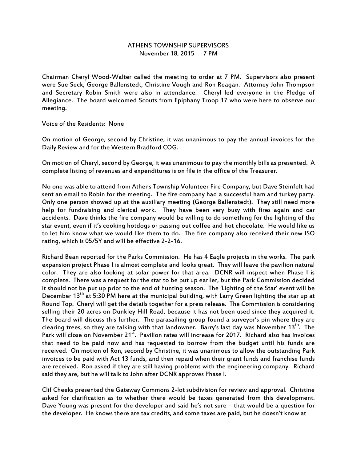## ATHENS TOWNSHIP SUPERVISORS November 18, 2015 7 PM

Chairman Cheryl Wood-Walter called the meeting to order at 7 PM. Supervisors also present were Sue Seck, George Ballenstedt, Christine Vough and Ron Reagan. Attorney John Thompson and Secretary Robin Smith were also in attendance. Cheryl led everyone in the Pledge of Allegiance. The board welcomed Scouts from Epiphany Troop 17 who were here to observe our meeting.

Voice of the Residents: None

On motion of George, second by Christine, it was unanimous to pay the annual invoices for the Daily Review and for the Western Bradford COG.

On motion of Cheryl, second by George, it was unanimous to pay the monthly bills as presented. A complete listing of revenues and expenditures is on file in the office of the Treasurer.

No one was able to attend from Athens Township Volunteer Fire Company, but Dave Steinfelt had sent an email to Robin for the meeting. The fire company had a successful ham and turkey party. Only one person showed up at the auxiliary meeting (George Ballenstedt). They still need more help for fundraising and clerical work. They have been very busy with fires again and car accidents. Dave thinks the fire company would be willing to do something for the lighting of the star event, even if it's cooking hotdogs or passing out coffee and hot chocolate. He would like us to let him know what we would like them to do. The fire company also received their new ISO rating, which is 05/5Y and will be effective 2-2-16.

Richard Bean reported for the Parks Commission. He has 4 Eagle projects in the works. The park expansion project Phase I is almost complete and looks great. They will leave the pavilion natural color. They are also looking at solar power for that area. DCNR will inspect when Phase I is complete. There was a request for the star to be put up earlier, but the Park Commission decided it should not be put up prior to the end of hunting season. The 'Lighting of the Star' event will be December 13<sup>th</sup> at 5:30 PM here at the municipal building, with Larry Green lighting the star up at Round Top. Cheryl will get the details together for a press release. The Commission is considering selling their 20 acres on Dunkley Hill Road, because it has not been used since they acquired it. The board will discuss this further. The parasailing group found a surveyor's pin where they are clearing trees, so they are talking with that landowner. Barry's last day was November 13<sup>th</sup>. The Park will close on November 21<sup>st</sup>. Pavilion rates will increase for 2017. Richard also has invoices that need to be paid now and has requested to borrow from the budget until his funds are received. On motion of Ron, second by Christine, it was unanimous to allow the outstanding Park invoices to be paid with Act 13 funds, and then repaid when their grant funds and franchise funds are received. Ron asked if they are still having problems with the engineering company. Richard said they are, but he will talk to John after DCNR approves Phase I.

Clif Cheeks presented the Gateway Commons 2-lot subdivision for review and approval. Christine asked for clarification as to whether there would be taxes generated from this development. Dave Young was present for the developer and said he's not sure – that would be a question for the developer. He knows there are tax credits, and some taxes are paid, but he doesn't know at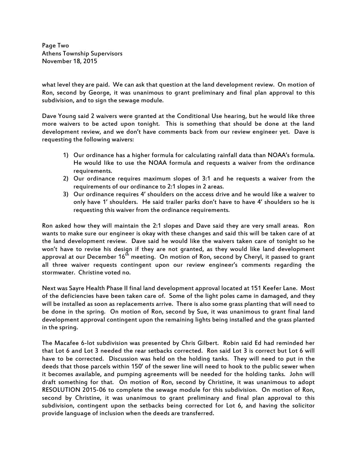Page Two Athens Township Supervisors November 18, 2015

what level they are paid. We can ask that question at the land development review. On motion of Ron, second by George, it was unanimous to grant preliminary and final plan approval to this subdivision, and to sign the sewage module.

Dave Young said 2 waivers were granted at the Conditional Use hearing, but he would like three more waivers to be acted upon tonight. This is something that should be done at the land development review, and we don't have comments back from our review engineer yet. Dave is requesting the following waivers:

- 1) Our ordinance has a higher formula for calculating rainfall data than NOAA's formula. He would like to use the NOAA formula and requests a waiver from the ordinance requirements.
- 2) Our ordinance requires maximum slopes of 3:1 and he requests a waiver from the requirements of our ordinance to 2:1 slopes in 2 areas.
- 3) Our ordinance requires 4' shoulders on the access drive and he would like a waiver to only have 1' shoulders. He said trailer parks don't have to have 4' shoulders so he is requesting this waiver from the ordinance requirements.

Ron asked how they will maintain the 2:1 slopes and Dave said they are very small areas. Ron wants to make sure our engineer is okay with these changes and said this will be taken care of at the land development review. Dave said he would like the waivers taken care of tonight so he won't have to revise his design if they are not granted, as they would like land development approval at our December  $16<sup>th</sup>$  meeting. On motion of Ron, second by Cheryl, it passed to grant all three waiver requests contingent upon our review engineer's comments regarding the stormwater. Christine voted no.

Next was Sayre Health Phase II final land development approval located at 151 Keefer Lane. Most of the deficiencies have been taken care of. Some of the light poles came in damaged, and they will be installed as soon as replacements arrive. There is also some grass planting that will need to be done in the spring. On motion of Ron, second by Sue, it was unanimous to grant final land development approval contingent upon the remaining lights being installed and the grass planted in the spring.

The Macafee 6-lot subdivision was presented by Chris Gilbert. Robin said Ed had reminded her that Lot 6 and Lot 3 needed the rear setbacks corrected. Ron said Lot 3 is correct but Lot 6 will have to be corrected. Discussion was held on the holding tanks. They will need to put in the deeds that those parcels within 150' of the sewer line will need to hook to the public sewer when it becomes available, and pumping agreements will be needed for the holding tanks. John will draft something for that. On motion of Ron, second by Christine, it was unanimous to adopt RESOLUTION 2015-06 to complete the sewage module for this subdivision. On motion of Ron, second by Christine, it was unanimous to grant preliminary and final plan approval to this subdivision, contingent upon the setbacks being corrected for Lot 6, and having the solicitor provide language of inclusion when the deeds are transferred.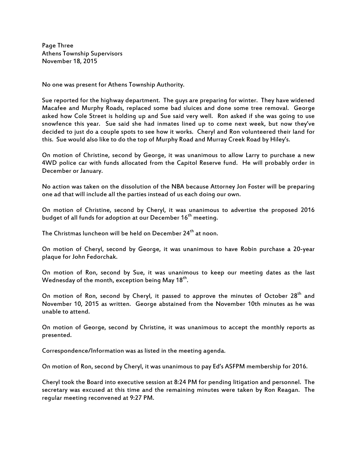Page Three Athens Township Supervisors November 18, 2015

No one was present for Athens Township Authority.

Sue reported for the highway department. The guys are preparing for winter. They have widened Macafee and Murphy Roads, replaced some bad sluices and done some tree removal. George asked how Cole Street is holding up and Sue said very well. Ron asked if she was going to use snowfence this year. Sue said she had inmates lined up to come next week, but now they've decided to just do a couple spots to see how it works. Cheryl and Ron volunteered their land for this. Sue would also like to do the top of Murphy Road and Murray Creek Road by Hiley's.

On motion of Christine, second by George, it was unanimous to allow Larry to purchase a new 4WD police car with funds allocated from the Capitol Reserve fund. He will probably order in December or January.

No action was taken on the dissolution of the NBA because Attorney Jon Foster will be preparing one ad that will include all the parties instead of us each doing our own.

On motion of Christine, second by Cheryl, it was unanimous to advertise the proposed 2016 budget of all funds for adoption at our December 16<sup>th</sup> meeting.

The Christmas luncheon will be held on December 24<sup>th</sup> at noon.

On motion of Cheryl, second by George, it was unanimous to have Robin purchase a 20-year plaque for John Fedorchak.

On motion of Ron, second by Sue, it was unanimous to keep our meeting dates as the last Wednesday of the month, exception being May 18<sup>th</sup>.

On motion of Ron, second by Cheryl, it passed to approve the minutes of October 28<sup>th</sup> and November 10, 2015 as written. George abstained from the November 10th minutes as he was unable to attend.

On motion of George, second by Christine, it was unanimous to accept the monthly reports as presented.

Correspondence/Information was as listed in the meeting agenda.

On motion of Ron, second by Cheryl, it was unanimous to pay Ed's ASFPM membership for 2016.

Cheryl took the Board into executive session at 8:24 PM for pending litigation and personnel. The secretary was excused at this time and the remaining minutes were taken by Ron Reagan. The regular meeting reconvened at 9:27 PM.